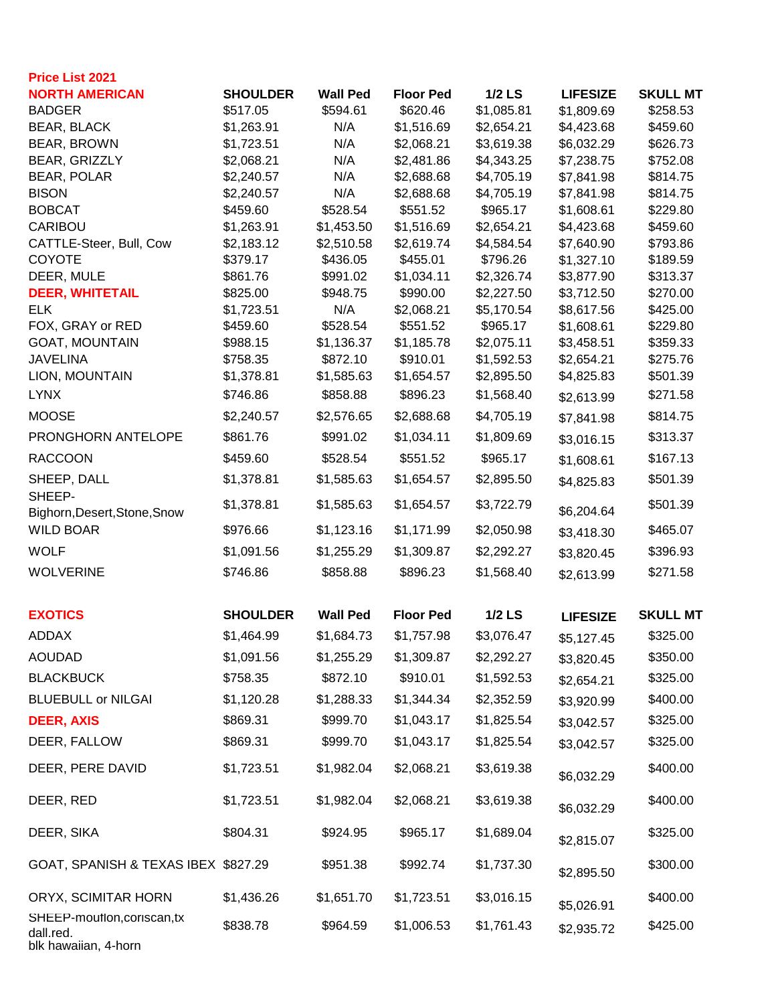| <b>Price List 2021</b>                                           |                        |                 |                        |                        |                          |                      |
|------------------------------------------------------------------|------------------------|-----------------|------------------------|------------------------|--------------------------|----------------------|
| <b>NORTH AMERICAN</b>                                            | <b>SHOULDER</b>        | <b>Wall Ped</b> | <b>Floor Ped</b>       | $1/2$ LS               | <b>LIFESIZE</b>          | <b>SKULL MT</b>      |
| <b>BADGER</b>                                                    | \$517.05               | \$594.61        | \$620.46               | \$1,085.81             | \$1,809.69               | \$258.53             |
| <b>BEAR, BLACK</b>                                               | \$1,263.91             | N/A             | \$1,516.69             | \$2,654.21             | \$4,423.68               | \$459.60             |
| BEAR, BROWN                                                      | \$1,723.51             | N/A             | \$2,068.21             | \$3,619.38             | \$6,032.29               | \$626.73             |
| BEAR, GRIZZLY                                                    | \$2,068.21             | N/A             | \$2,481.86             | \$4,343.25             | \$7,238.75               | \$752.08             |
| <b>BEAR, POLAR</b>                                               | \$2,240.57             | N/A             | \$2,688.68             | \$4,705.19             | \$7,841.98               | \$814.75             |
| <b>BISON</b><br><b>BOBCAT</b>                                    | \$2,240.57<br>\$459.60 | N/A<br>\$528.54 | \$2,688.68<br>\$551.52 | \$4,705.19<br>\$965.17 | \$7,841.98<br>\$1,608.61 | \$814.75<br>\$229.80 |
| CARIBOU                                                          | \$1,263.91             | \$1,453.50      | \$1,516.69             | \$2,654.21             | \$4,423.68               | \$459.60             |
| CATTLE-Steer, Bull, Cow                                          | \$2,183.12             | \$2,510.58      | \$2,619.74             | \$4,584.54             | \$7,640.90               | \$793.86             |
| <b>COYOTE</b>                                                    | \$379.17               | \$436.05        | \$455.01               | \$796.26               | \$1,327.10               | \$189.59             |
| DEER, MULE                                                       | \$861.76               | \$991.02        | \$1,034.11             | \$2,326.74             | \$3,877.90               | \$313.37             |
| <b>DEER, WHITETAIL</b>                                           | \$825.00               | \$948.75        | \$990.00               | \$2,227.50             | \$3,712.50               | \$270.00             |
| <b>ELK</b>                                                       | \$1,723.51             | N/A             | \$2,068.21             | \$5,170.54             | \$8,617.56               | \$425.00             |
| FOX, GRAY or RED                                                 | \$459.60               | \$528.54        | \$551.52               | \$965.17               | \$1,608.61               | \$229.80             |
| <b>GOAT, MOUNTAIN</b>                                            | \$988.15               | \$1,136.37      | \$1,185.78             | \$2,075.11             | \$3,458.51               | \$359.33             |
| <b>JAVELINA</b>                                                  | \$758.35               | \$872.10        | \$910.01               | \$1,592.53             | \$2,654.21               | \$275.76             |
| LION, MOUNTAIN                                                   | \$1,378.81             | \$1,585.63      | \$1,654.57             | \$2,895.50             | \$4,825.83               | \$501.39             |
| <b>LYNX</b>                                                      | \$746.86               | \$858.88        | \$896.23               | \$1,568.40             | \$2,613.99               | \$271.58             |
| <b>MOOSE</b>                                                     | \$2,240.57             | \$2,576.65      | \$2,688.68             | \$4,705.19             | \$7,841.98               | \$814.75             |
| PRONGHORN ANTELOPE                                               | \$861.76               | \$991.02        | \$1,034.11             | \$1,809.69             | \$3,016.15               | \$313.37             |
| <b>RACCOON</b>                                                   | \$459.60               | \$528.54        | \$551.52               | \$965.17               | \$1,608.61               | \$167.13             |
| SHEEP, DALL                                                      | \$1,378.81             | \$1,585.63      | \$1,654.57             | \$2,895.50             | \$4,825.83               | \$501.39             |
| SHEEP-<br>Bighorn, Desert, Stone, Snow                           | \$1,378.81             | \$1,585.63      | \$1,654.57             | \$3,722.79             | \$6,204.64               | \$501.39             |
| <b>WILD BOAR</b>                                                 | \$976.66               | \$1,123.16      | \$1,171.99             | \$2,050.98             | \$3,418.30               | \$465.07             |
| <b>WOLF</b>                                                      | \$1,091.56             | \$1,255.29      | \$1,309.87             | \$2,292.27             | \$3,820.45               | \$396.93             |
| <b>WOLVERINE</b>                                                 | \$746.86               | \$858.88        | \$896.23               | \$1,568.40             | \$2,613.99               | \$271.58             |
| <b>EXOTICS</b>                                                   | <b>SHOULDER</b>        | <b>Wall Ped</b> | <b>Floor Ped</b>       | $1/2$ LS               | <b>LIFESIZE</b>          | <b>SKULL MT</b>      |
| <b>ADDAX</b>                                                     | \$1,464.99             | \$1,684.73      | \$1,757.98             | \$3,076.47             | \$5,127.45               | \$325.00             |
| <b>AOUDAD</b>                                                    | \$1,091.56             | \$1,255.29      | \$1,309.87             | \$2,292.27             | \$3,820.45               | \$350.00             |
| <b>BLACKBUCK</b>                                                 | \$758.35               | \$872.10        | \$910.01               | \$1,592.53             | \$2,654.21               | \$325.00             |
| <b>BLUEBULL or NILGAI</b>                                        | \$1,120.28             | \$1,288.33      | \$1,344.34             | \$2,352.59             | \$3,920.99               | \$400.00             |
| <b>DEER, AXIS</b>                                                | \$869.31               | \$999.70        | \$1,043.17             | \$1,825.54             | \$3,042.57               | \$325.00             |
| DEER, FALLOW                                                     | \$869.31               | \$999.70        | \$1,043.17             | \$1,825.54             | \$3,042.57               | \$325.00             |
| DEER, PERE DAVID                                                 | \$1,723.51             | \$1,982.04      | \$2,068.21             | \$3,619.38             | \$6,032.29               | \$400.00             |
| DEER, RED                                                        | \$1,723.51             | \$1,982.04      | \$2,068.21             | \$3,619.38             | \$6,032.29               | \$400.00             |
| DEER, SIKA                                                       | \$804.31               | \$924.95        | \$965.17               | \$1,689.04             | \$2,815.07               | \$325.00             |
| GOAT, SPANISH & TEXAS IBEX \$827.29                              |                        | \$951.38        | \$992.74               | \$1,737.30             | \$2,895.50               | \$300.00             |
| ORYX, SCIMITAR HORN                                              | \$1,436.26             | \$1,651.70      | \$1,723.51             | \$3,016.15             | \$5,026.91               | \$400.00             |
| SHEEP-mouflon, coriscan, tx<br>dall.red.<br>blk hawaiian, 4-horn | \$838.78               | \$964.59        | \$1,006.53             | \$1,761.43             | \$2,935.72               | \$425.00             |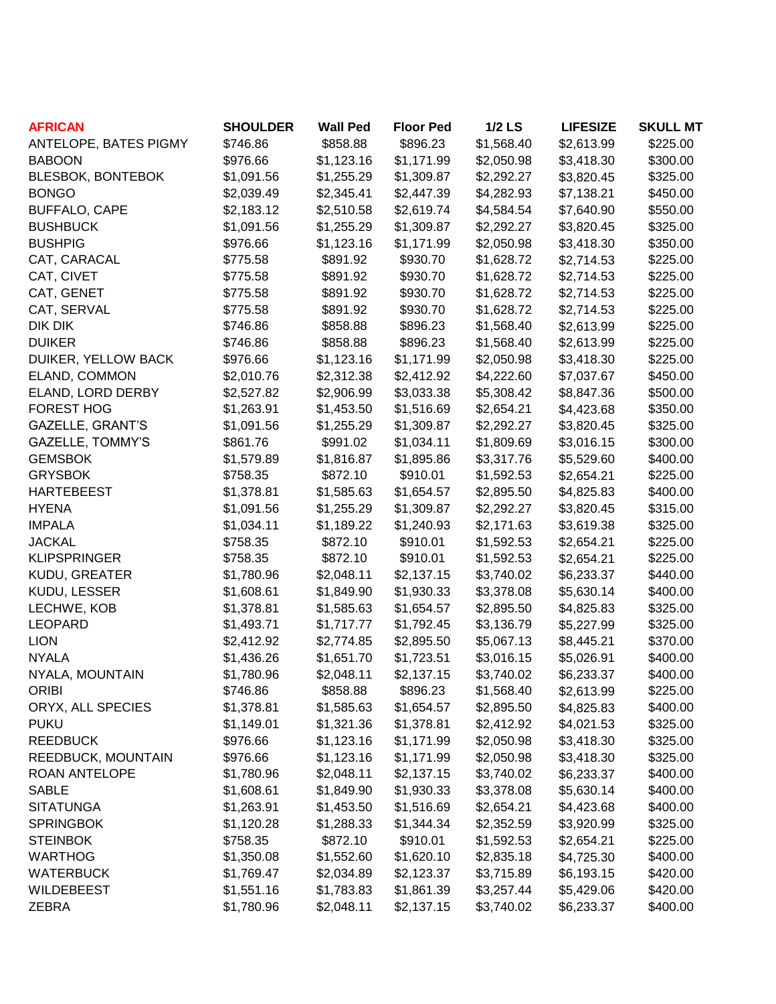| <b>AFRICAN</b>           | <b>SHOULDER</b> | <b>Wall Ped</b> | <b>Floor Ped</b> | $1/2$ LS   | <b>LIFESIZE</b> | <b>SKULL MT</b> |
|--------------------------|-----------------|-----------------|------------------|------------|-----------------|-----------------|
| ANTELOPE, BATES PIGMY    | \$746.86        | \$858.88        | \$896.23         | \$1,568.40 | \$2,613.99      | \$225.00        |
| <b>BABOON</b>            | \$976.66        | \$1,123.16      | \$1,171.99       | \$2,050.98 | \$3,418.30      | \$300.00        |
| <b>BLESBOK, BONTEBOK</b> | \$1,091.56      | \$1,255.29      | \$1,309.87       | \$2,292.27 | \$3,820.45      | \$325.00        |
| <b>BONGO</b>             | \$2,039.49      | \$2,345.41      | \$2,447.39       | \$4,282.93 | \$7,138.21      | \$450.00        |
| <b>BUFFALO, CAPE</b>     | \$2,183.12      | \$2,510.58      | \$2,619.74       | \$4,584.54 | \$7,640.90      | \$550.00        |
| <b>BUSHBUCK</b>          | \$1,091.56      | \$1,255.29      | \$1,309.87       | \$2,292.27 | \$3,820.45      | \$325.00        |
| <b>BUSHPIG</b>           | \$976.66        | \$1,123.16      | \$1,171.99       | \$2,050.98 | \$3,418.30      | \$350.00        |
| CAT, CARACAL             | \$775.58        | \$891.92        | \$930.70         | \$1,628.72 | \$2,714.53      | \$225.00        |
| CAT, CIVET               | \$775.58        | \$891.92        | \$930.70         | \$1,628.72 | \$2,714.53      | \$225.00        |
| CAT, GENET               | \$775.58        | \$891.92        | \$930.70         | \$1,628.72 | \$2,714.53      | \$225.00        |
| CAT, SERVAL              | \$775.58        | \$891.92        | \$930.70         | \$1,628.72 | \$2,714.53      | \$225.00        |
| DIK DIK                  | \$746.86        | \$858.88        | \$896.23         | \$1,568.40 | \$2,613.99      | \$225.00        |
| <b>DUIKER</b>            | \$746.86        | \$858.88        | \$896.23         | \$1,568.40 | \$2,613.99      | \$225.00        |
| DUIKER, YELLOW BACK      | \$976.66        | \$1,123.16      | \$1,171.99       | \$2,050.98 | \$3,418.30      | \$225.00        |
| ELAND, COMMON            | \$2,010.76      | \$2,312.38      | \$2,412.92       | \$4,222.60 | \$7,037.67      | \$450.00        |
| ELAND, LORD DERBY        | \$2,527.82      | \$2,906.99      | \$3,033.38       | \$5,308.42 | \$8,847.36      | \$500.00        |
| <b>FOREST HOG</b>        | \$1,263.91      | \$1,453.50      | \$1,516.69       | \$2,654.21 | \$4,423.68      | \$350.00        |
| <b>GAZELLE, GRANT'S</b>  | \$1,091.56      | \$1,255.29      | \$1,309.87       | \$2,292.27 | \$3,820.45      | \$325.00        |
| <b>GAZELLE, TOMMY'S</b>  | \$861.76        | \$991.02        | \$1,034.11       | \$1,809.69 | \$3,016.15      | \$300.00        |
| <b>GEMSBOK</b>           | \$1,579.89      | \$1,816.87      | \$1,895.86       | \$3,317.76 | \$5,529.60      | \$400.00        |
| <b>GRYSBOK</b>           | \$758.35        | \$872.10        | \$910.01         | \$1,592.53 | \$2,654.21      | \$225.00        |
| <b>HARTEBEEST</b>        | \$1,378.81      | \$1,585.63      | \$1,654.57       | \$2,895.50 | \$4,825.83      | \$400.00        |
| <b>HYENA</b>             | \$1,091.56      | \$1,255.29      | \$1,309.87       | \$2,292.27 | \$3,820.45      | \$315.00        |
| <b>IMPALA</b>            | \$1,034.11      | \$1,189.22      | \$1,240.93       | \$2,171.63 | \$3,619.38      | \$325.00        |
| <b>JACKAL</b>            | \$758.35        | \$872.10        | \$910.01         | \$1,592.53 | \$2,654.21      | \$225.00        |
| <b>KLIPSPRINGER</b>      | \$758.35        | \$872.10        | \$910.01         | \$1,592.53 | \$2,654.21      | \$225.00        |
| KUDU, GREATER            | \$1,780.96      | \$2,048.11      | \$2,137.15       | \$3,740.02 | \$6,233.37      | \$440.00        |
| KUDU, LESSER             | \$1,608.61      | \$1,849.90      | \$1,930.33       | \$3,378.08 | \$5,630.14      | \$400.00        |
| LECHWE, KOB              | \$1,378.81      | \$1,585.63      | \$1,654.57       | \$2,895.50 | \$4,825.83      | \$325.00        |
| <b>LEOPARD</b>           | \$1,493.71      | \$1,717.77      | \$1,792.45       | \$3,136.79 | \$5,227.99      | \$325.00        |
| <b>LION</b>              | \$2,412.92      | \$2,774.85      | \$2,895.50       | \$5,067.13 | \$8,445.21      | \$370.00        |
| <b>NYALA</b>             | \$1,436.26      | \$1,651.70      | \$1,723.51       | \$3,016.15 | \$5,026.91      | \$400.00        |
| NYALA, MOUNTAIN          | \$1,780.96      | \$2,048.11      | \$2,137.15       | \$3,740.02 | \$6,233.37      | \$400.00        |
| <b>ORIBI</b>             | \$746.86        | \$858.88        | \$896.23         | \$1,568.40 | \$2,613.99      | \$225.00        |
| ORYX, ALL SPECIES        | \$1,378.81      | \$1,585.63      | \$1,654.57       | \$2,895.50 | \$4,825.83      | \$400.00        |
| <b>PUKU</b>              | \$1,149.01      | \$1,321.36      | \$1,378.81       | \$2,412.92 | \$4,021.53      | \$325.00        |
| <b>REEDBUCK</b>          | \$976.66        | \$1,123.16      | \$1,171.99       | \$2,050.98 | \$3,418.30      | \$325.00        |
| REEDBUCK, MOUNTAIN       | \$976.66        | \$1,123.16      | \$1,171.99       | \$2,050.98 | \$3,418.30      | \$325.00        |
| ROAN ANTELOPE            | \$1,780.96      | \$2,048.11      | \$2,137.15       | \$3,740.02 | \$6,233.37      | \$400.00        |
| <b>SABLE</b>             | \$1,608.61      | \$1,849.90      | \$1,930.33       | \$3,378.08 | \$5,630.14      | \$400.00        |
| <b>SITATUNGA</b>         | \$1,263.91      | \$1,453.50      | \$1,516.69       | \$2,654.21 | \$4,423.68      | \$400.00        |
| <b>SPRINGBOK</b>         | \$1,120.28      | \$1,288.33      | \$1,344.34       | \$2,352.59 | \$3,920.99      | \$325.00        |
| <b>STEINBOK</b>          | \$758.35        | \$872.10        | \$910.01         | \$1,592.53 | \$2,654.21      | \$225.00        |
| <b>WARTHOG</b>           | \$1,350.08      | \$1,552.60      | \$1,620.10       | \$2,835.18 | \$4,725.30      | \$400.00        |
| <b>WATERBUCK</b>         | \$1,769.47      | \$2,034.89      | \$2,123.37       | \$3,715.89 | \$6,193.15      | \$420.00        |
| WILDEBEEST               | \$1,551.16      | \$1,783.83      | \$1,861.39       | \$3,257.44 | \$5,429.06      | \$420.00        |
| <b>ZEBRA</b>             | \$1,780.96      | \$2,048.11      | \$2,137.15       | \$3,740.02 | \$6,233.37      | \$400.00        |
|                          |                 |                 |                  |            |                 |                 |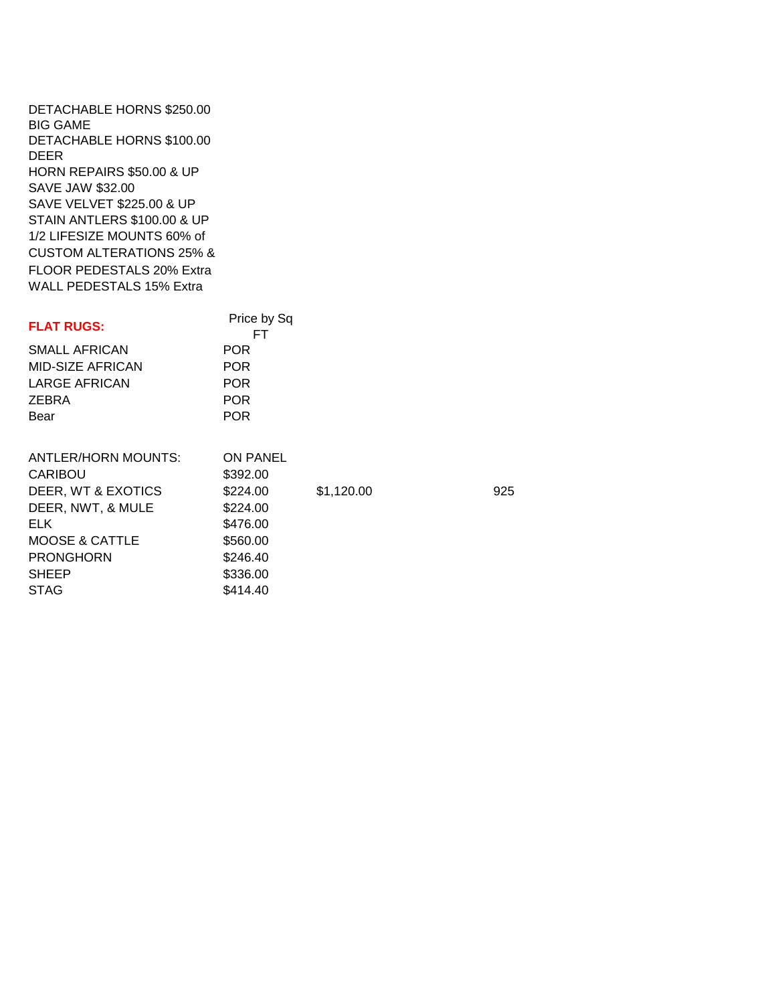DETACHABLE HORNS \$250.00 BIG GAME DETACHABLE HORNS \$100.00 DEER HORN REPAIRS \$50.00 & UP SAVE JAW \$32.00 SAVE VELVET \$225.00 & UP STAIN ANTLERS \$100.00 & UP 1/2 LIFESIZE MOUNTS 60% of CUSTOM ALTERATIONS 25% & FLOOR PEDESTALS 20% Extra WALL PEDESTALS 15% Extra

| <b>FLAT RUGS:</b>          | Price by Sq<br>FT. |            |     |
|----------------------------|--------------------|------------|-----|
| SMALL AFRICAN              | <b>POR</b>         |            |     |
| MID-SIZE AFRICAN           | <b>POR</b>         |            |     |
| <b>LARGE AFRICAN</b>       | <b>POR</b>         |            |     |
| ZEBRA                      | <b>POR</b>         |            |     |
| Bear                       | <b>POR</b>         |            |     |
|                            |                    |            |     |
| <b>ANTLER/HORN MOUNTS:</b> | <b>ON PANEL</b>    |            |     |
| <b>CARIBOU</b>             | \$392.00           |            |     |
| DEER, WT & EXOTICS         | \$224.00           | \$1,120.00 | 925 |
| DEER, NWT, & MULE          | \$224.00           |            |     |
| ELK.                       | \$476.00           |            |     |
| <b>MOOSE &amp; CATTLE</b>  | \$560.00           |            |     |
| <b>PRONGHORN</b>           | \$246.40           |            |     |
| <b>SHEEP</b>               | \$336.00           |            |     |
| <b>STAG</b>                | \$414.40           |            |     |
|                            |                    |            |     |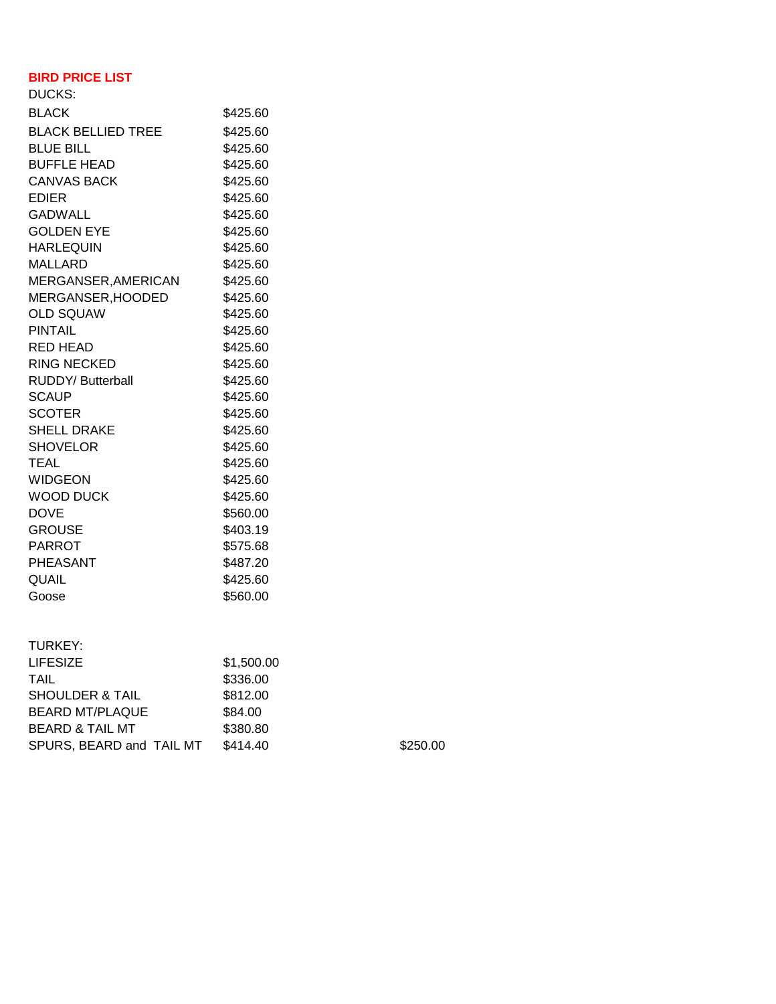## **BIRD PRICE LIST**

| <b>DUCKS:</b>             |          |
|---------------------------|----------|
| <b>BLACK</b>              | \$425.60 |
| <b>BLACK BELLIED TREE</b> | \$425.60 |
| <b>BLUE BILL</b>          | \$425.60 |
| <b>BUFFLE HEAD</b>        | \$425.60 |
| <b>CANVAS BACK</b>        | \$425.60 |
| <b>EDIER</b>              | \$425.60 |
| <b>GADWALL</b>            | \$425.60 |
| <b>GOLDEN EYE</b>         | \$425.60 |
| <b>HARLEQUIN</b>          | \$425.60 |
| <b>MALLARD</b>            | \$425.60 |
| MERGANSER, AMERICAN       | \$425.60 |
| MERGANSER, HOODED         | \$425.60 |
| <b>OLD SQUAW</b>          | \$425.60 |
| PINTAIL                   | \$425.60 |
| RED HEAD                  | \$425.60 |
| <b>RING NECKED</b>        | \$425.60 |
| RUDDY/ Butterball         | \$425.60 |
| <b>SCAUP</b>              | \$425.60 |
| <b>SCOTER</b>             | \$425.60 |
| <b>SHELL DRAKE</b>        | \$425.60 |
| SHOVELOR                  | \$425.60 |
| <b>TEAL</b>               | \$425.60 |
| <b>WIDGEON</b>            | \$425.60 |
| <b>WOOD DUCK</b>          | \$425.60 |
| <b>DOVE</b>               | \$560.00 |
| <b>GROUSE</b>             | \$403.19 |
| <b>PARROT</b>             | \$575.68 |
| <b>PHEASANT</b>           | \$487.20 |
| <b>QUAIL</b>              | \$425.60 |
| Goose                     | \$560.00 |
|                           |          |

| TURKEY:                    |            |
|----------------------------|------------|
| <b>LIFESIZE</b>            | \$1,500.00 |
| TAIL                       | \$336.00   |
| <b>SHOULDER &amp; TAIL</b> | \$812.00   |
| <b>BEARD MT/PLAQUE</b>     | \$84.00    |
| <b>BEARD &amp; TAIL MT</b> | \$380.80   |
| SPURS, BEARD and TAIL MT   | \$414.40   |

 $$250.00$